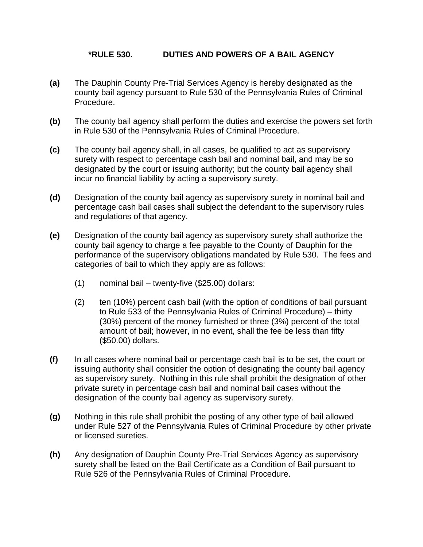## **\*RULE 530. DUTIES AND POWERS OF A BAIL AGENCY**

- **(a)** The Dauphin County Pre-Trial Services Agency is hereby designated as the county bail agency pursuant to Rule 530 of the Pennsylvania Rules of Criminal Procedure.
- **(b)** The county bail agency shall perform the duties and exercise the powers set forth in Rule 530 of the Pennsylvania Rules of Criminal Procedure.
- **(c)** The county bail agency shall, in all cases, be qualified to act as supervisory surety with respect to percentage cash bail and nominal bail, and may be so designated by the court or issuing authority; but the county bail agency shall incur no financial liability by acting a supervisory surety.
- **(d)** Designation of the county bail agency as supervisory surety in nominal bail and percentage cash bail cases shall subject the defendant to the supervisory rules and regulations of that agency.
- **(e)** Designation of the county bail agency as supervisory surety shall authorize the county bail agency to charge a fee payable to the County of Dauphin for the performance of the supervisory obligations mandated by Rule 530. The fees and categories of bail to which they apply are as follows:
	- (1) nominal bail twenty-five (\$25.00) dollars:
	- (2) ten (10%) percent cash bail (with the option of conditions of bail pursuant to Rule 533 of the Pennsylvania Rules of Criminal Procedure) – thirty (30%) percent of the money furnished or three (3%) percent of the total amount of bail; however, in no event, shall the fee be less than fifty (\$50.00) dollars.
- **(f)** In all cases where nominal bail or percentage cash bail is to be set, the court or issuing authority shall consider the option of designating the county bail agency as supervisory surety. Nothing in this rule shall prohibit the designation of other private surety in percentage cash bail and nominal bail cases without the designation of the county bail agency as supervisory surety.
- **(g)** Nothing in this rule shall prohibit the posting of any other type of bail allowed under Rule 527 of the Pennsylvania Rules of Criminal Procedure by other private or licensed sureties.
- **(h)** Any designation of Dauphin County Pre-Trial Services Agency as supervisory surety shall be listed on the Bail Certificate as a Condition of Bail pursuant to Rule 526 of the Pennsylvania Rules of Criminal Procedure.